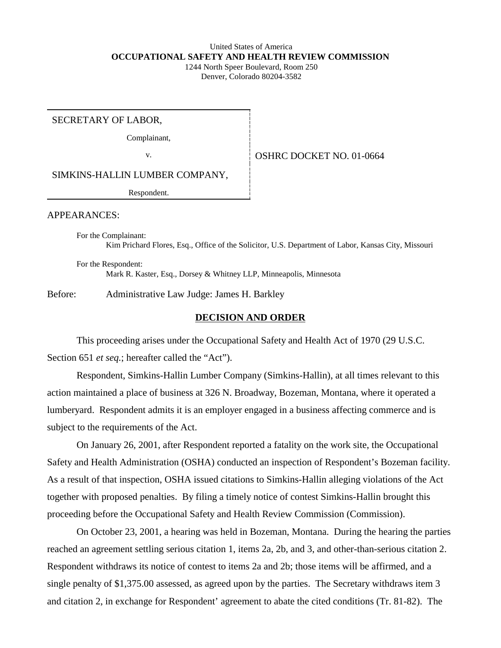#### United States of America **OCCUPATIONAL SAFETY AND HEALTH REVIEW COMMISSION** 1244 North Speer Boulevard, Room 250 Denver, Colorado 80204-3582

SECRETARY OF LABOR,

Complainant,

v. **CONSERVER SERVICE OSHRC DOCKET NO.** 01-0664

SIMKINS-HALLIN LUMBER COMPANY,

Respondent.

APPEARANCES:

For the Complainant: Kim Prichard Flores, Esq., Office of the Solicitor, U.S. Department of Labor, Kansas City, Missouri

For the Respondent: Mark R. Kaster, Esq., Dorsey & Whitney LLP, Minneapolis, Minnesota

Before: Administrative Law Judge: James H. Barkley

## **DECISION AND ORDER**

This proceeding arises under the Occupational Safety and Health Act of 1970 (29 U.S.C. Section 651 *et seq.*; hereafter called the "Act").

Respondent, Simkins-Hallin Lumber Company (Simkins-Hallin), at all times relevant to this action maintained a place of business at 326 N. Broadway, Bozeman, Montana, where it operated a lumberyard. Respondent admits it is an employer engaged in a business affecting commerce and is subject to the requirements of the Act.

On January 26, 2001, after Respondent reported a fatality on the work site, the Occupational Safety and Health Administration (OSHA) conducted an inspection of Respondent's Bozeman facility. As a result of that inspection, OSHA issued citations to Simkins-Hallin alleging violations of the Act together with proposed penalties. By filing a timely notice of contest Simkins-Hallin brought this proceeding before the Occupational Safety and Health Review Commission (Commission).

On October 23, 2001, a hearing was held in Bozeman, Montana. During the hearing the parties reached an agreement settling serious citation 1, items 2a, 2b, and 3, and other-than-serious citation 2. Respondent withdraws its notice of contest to items 2a and 2b; those items will be affirmed, and a single penalty of \$1,375.00 assessed, as agreed upon by the parties. The Secretary withdraws item 3 and citation 2, in exchange for Respondent' agreement to abate the cited conditions (Tr. 81-82). The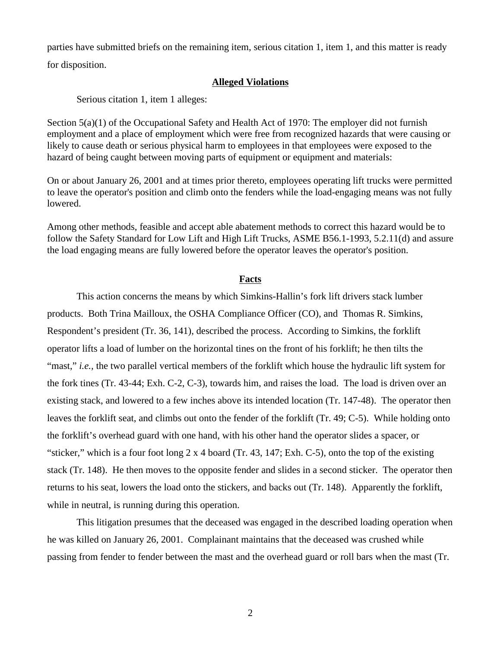parties have submitted briefs on the remaining item, serious citation 1, item 1, and this matter is ready for disposition.

### **Alleged Violations**

Serious citation 1, item 1 alleges:

Section  $5(a)(1)$  of the Occupational Safety and Health Act of 1970: The employer did not furnish employment and a place of employment which were free from recognized hazards that were causing or likely to cause death or serious physical harm to employees in that employees were exposed to the hazard of being caught between moving parts of equipment or equipment and materials:

On or about January 26, 2001 and at times prior thereto, employees operating lift trucks were permitted to leave the operator's position and climb onto the fenders while the load-engaging means was not fully lowered.

Among other methods, feasible and accept able abatement methods to correct this hazard would be to follow the Safety Standard for Low Lift and High Lift Trucks, ASME B56.1-1993, 5.2.11(d) and assure the load engaging means are fully lowered before the operator leaves the operator's position.

## **Facts**

This action concerns the means by which Simkins-Hallin's fork lift drivers stack lumber products. Both Trina Mailloux, the OSHA Compliance Officer (CO), and Thomas R. Simkins, Respondent's president (Tr. 36, 141), described the process. According to Simkins, the forklift operator lifts a load of lumber on the horizontal tines on the front of his forklift; he then tilts the "mast," *i.e.*, the two parallel vertical members of the forklift which house the hydraulic lift system for the fork tines (Tr. 43-44; Exh. C-2, C-3), towards him, and raises the load. The load is driven over an existing stack, and lowered to a few inches above its intended location (Tr. 147-48). The operator then leaves the forklift seat, and climbs out onto the fender of the forklift (Tr. 49; C-5). While holding onto the forklift's overhead guard with one hand, with his other hand the operator slides a spacer, or "sticker," which is a four foot long 2 x 4 board (Tr. 43, 147; Exh. C-5), onto the top of the existing stack (Tr. 148). He then moves to the opposite fender and slides in a second sticker. The operator then returns to his seat, lowers the load onto the stickers, and backs out (Tr. 148). Apparently the forklift, while in neutral, is running during this operation.

This litigation presumes that the deceased was engaged in the described loading operation when he was killed on January 26, 2001. Complainant maintains that the deceased was crushed while passing from fender to fender between the mast and the overhead guard or roll bars when the mast (Tr.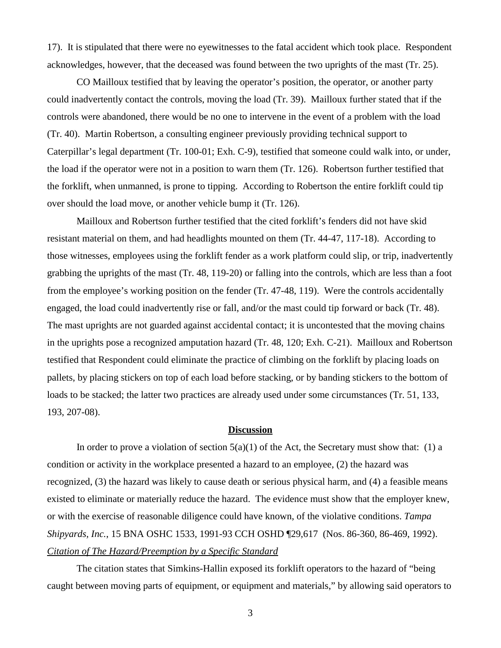17). It is stipulated that there were no eyewitnesses to the fatal accident which took place. Respondent acknowledges, however, that the deceased was found between the two uprights of the mast (Tr. 25).

CO Mailloux testified that by leaving the operator's position, the operator, or another party could inadvertently contact the controls, moving the load (Tr. 39). Mailloux further stated that if the controls were abandoned, there would be no one to intervene in the event of a problem with the load (Tr. 40). Martin Robertson, a consulting engineer previously providing technical support to Caterpillar's legal department (Tr. 100-01; Exh. C-9), testified that someone could walk into, or under, the load if the operator were not in a position to warn them (Tr. 126). Robertson further testified that the forklift, when unmanned, is prone to tipping. According to Robertson the entire forklift could tip over should the load move, or another vehicle bump it (Tr. 126).

Mailloux and Robertson further testified that the cited forklift's fenders did not have skid resistant material on them, and had headlights mounted on them (Tr. 44-47, 117-18). According to those witnesses, employees using the forklift fender as a work platform could slip, or trip, inadvertently grabbing the uprights of the mast (Tr. 48, 119-20) or falling into the controls, which are less than a foot from the employee's working position on the fender (Tr. 47-48, 119). Were the controls accidentally engaged, the load could inadvertently rise or fall, and/or the mast could tip forward or back (Tr. 48). The mast uprights are not guarded against accidental contact; it is uncontested that the moving chains in the uprights pose a recognized amputation hazard (Tr. 48, 120; Exh. C-21). Mailloux and Robertson testified that Respondent could eliminate the practice of climbing on the forklift by placing loads on pallets, by placing stickers on top of each load before stacking, or by banding stickers to the bottom of loads to be stacked; the latter two practices are already used under some circumstances (Tr. 51, 133, 193, 207-08).

## **Discussion**

In order to prove a violation of section  $5(a)(1)$  of the Act, the Secretary must show that: (1) a condition or activity in the workplace presented a hazard to an employee, (2) the hazard was recognized, (3) the hazard was likely to cause death or serious physical harm, and (4) a feasible means existed to eliminate or materially reduce the hazard. The evidence must show that the employer knew, or with the exercise of reasonable diligence could have known, of the violative conditions. *Tampa Shipyards, Inc.*, 15 BNA OSHC 1533, 1991-93 CCH OSHD ¶29,617 (Nos. 86-360, 86-469, 1992). *Citation of The Hazard/Preemption by a Specific Standard* 

The citation states that Simkins-Hallin exposed its forklift operators to the hazard of "being caught between moving parts of equipment, or equipment and materials," by allowing said operators to

3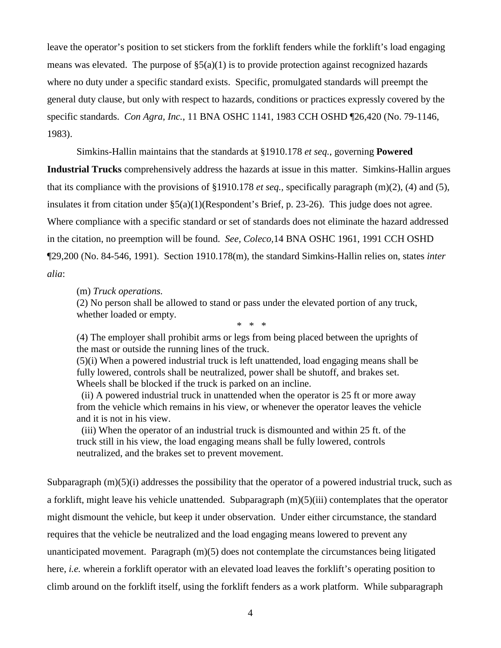leave the operator's position to set stickers from the forklift fenders while the forklift's load engaging means was elevated. The purpose of  $\S(3a)(1)$  is to provide protection against recognized hazards where no duty under a specific standard exists. Specific, promulgated standards will preempt the general duty clause, but only with respect to hazards, conditions or practices expressly covered by the specific standards. *Con Agra, Inc.*, 11 BNA OSHC 1141, 1983 CCH OSHD ¶26,420 (No. 79-1146, 1983).

Simkins-Hallin maintains that the standards at §1910.178 *et seq.*, governing **Powered** 

**Industrial Trucks** comprehensively address the hazards at issue in this matter. Simkins-Hallin argues that its compliance with the provisions of §1910.178 *et seq.,* specifically paragraph (m)(2), (4) and (5), insulates it from citation under  $\S(2a)(1)$ (Respondent's Brief, p. 23-26). This judge does not agree. Where compliance with a specific standard or set of standards does not eliminate the hazard addressed in the citation, no preemption will be found. *See, Coleco,*14 BNA OSHC 1961, 1991 CCH OSHD ¶29,200 (No. 84-546, 1991). Section 1910.178(m), the standard Simkins-Hallin relies on, states *inter alia*:

(m) *Truck operations.*

(2) No person shall be allowed to stand or pass under the elevated portion of any truck, whether loaded or empty.

 $\ddot{\phi}$   $\ddot{\phi}$ 

(4) The employer shall prohibit arms or legs from being placed between the uprights of the mast or outside the running lines of the truck.

(5)(i) When a powered industrial truck is left unattended, load engaging means shall be fully lowered, controls shall be neutralized, power shall be shutoff, and brakes set. Wheels shall be blocked if the truck is parked on an incline.

(ii) A powered industrial truck in unattended when the operator is 25 ft or more away from the vehicle which remains in his view, or whenever the operator leaves the vehicle and it is not in his view.

(iii) When the operator of an industrial truck is dismounted and within 25 ft. of the truck still in his view, the load engaging means shall be fully lowered, controls neutralized, and the brakes set to prevent movement.

Subparagraph (m)(5)(i) addresses the possibility that the operator of a powered industrial truck, such as a forklift, might leave his vehicle unattended. Subparagraph (m)(5)(iii) contemplates that the operator might dismount the vehicle, but keep it under observation. Under either circumstance, the standard requires that the vehicle be neutralized and the load engaging means lowered to prevent any unanticipated movement. Paragraph (m)(5) does not contemplate the circumstances being litigated here, *i.e.* wherein a forklift operator with an elevated load leaves the forklift's operating position to climb around on the forklift itself, using the forklift fenders as a work platform. While subparagraph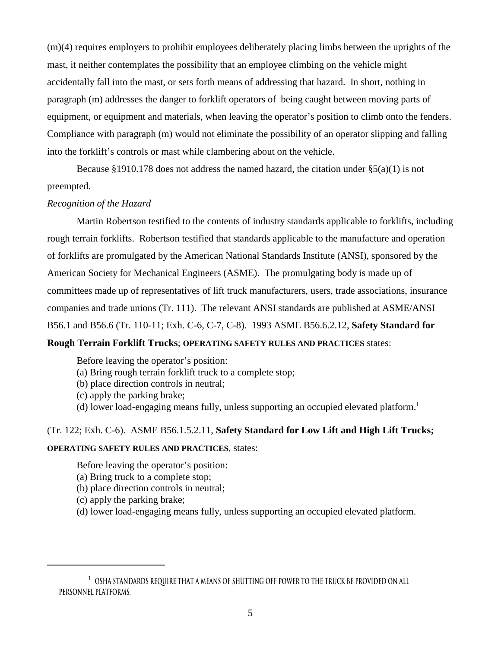(m)(4) requires employers to prohibit employees deliberately placing limbs between the uprights of the mast, it neither contemplates the possibility that an employee climbing on the vehicle might accidentally fall into the mast, or sets forth means of addressing that hazard. In short, nothing in paragraph (m) addresses the danger to forklift operators of being caught between moving parts of equipment, or equipment and materials, when leaving the operator's position to climb onto the fenders. Compliance with paragraph (m) would not eliminate the possibility of an operator slipping and falling into the forklift's controls or mast while clambering about on the vehicle.

Because §1910.178 does not address the named hazard, the citation under  $\S(6a)(1)$  is not preempted.

## *Recognition of the Hazard*

Martin Robertson testified to the contents of industry standards applicable to forklifts, including rough terrain forklifts. Robertson testified that standards applicable to the manufacture and operation of forklifts are promulgated by the American National Standards Institute (ANSI), sponsored by the American Society for Mechanical Engineers (ASME). The promulgating body is made up of committees made up of representatives of lift truck manufacturers, users, trade associations, insurance companies and trade unions (Tr. 111). The relevant ANSI standards are published at ASME/ANSI B56.1 and B56.6 (Tr. 110-11; Exh. C-6, C-7, C-8). 1993 ASME B56.6.2.12, **Safety Standard for Rough Terrain Forklift Trucks**; **OPERATING SAFETY RULES AND PRACTICES** states:

Before leaving the operator's position:

- (a) Bring rough terrain forklift truck to a complete stop;
- (b) place direction controls in neutral;
- (c) apply the parking brake;
- (d) lower load-engaging means fully, unless supporting an occupied elevated platform.<sup>1</sup>

# (Tr. 122; Exh. C-6). ASME B56.1.5.2.11, **Safety Standard for Low Lift and High Lift Trucks;**

## **OPERATING SAFETY RULES AND PRACTICES**, states:

Before leaving the operator's position:

- (a) Bring truck to a complete stop;
- (b) place direction controls in neutral;
- (c) apply the parking brake;
- (d) lower load-engaging means fully, unless supporting an occupied elevated platform.

**<sup>1</sup> OSHA standards require that a means of shutting off power to the truck be provided on all personnel platforms.**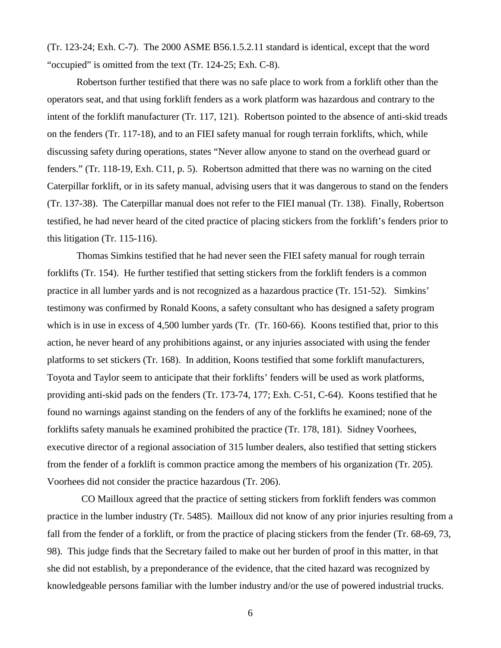(Tr. 123-24; Exh. C-7). The 2000 ASME B56.1.5.2.11 standard is identical, except that the word "occupied" is omitted from the text (Tr. 124-25; Exh. C-8).

Robertson further testified that there was no safe place to work from a forklift other than the operators seat, and that using forklift fenders as a work platform was hazardous and contrary to the intent of the forklift manufacturer (Tr. 117, 121). Robertson pointed to the absence of anti-skid treads on the fenders (Tr. 117-18), and to an FIEI safety manual for rough terrain forklifts, which, while discussing safety during operations, states "Never allow anyone to stand on the overhead guard or fenders." (Tr. 118-19, Exh. C11, p. 5). Robertson admitted that there was no warning on the cited Caterpillar forklift, or in its safety manual, advising users that it was dangerous to stand on the fenders (Tr. 137-38). The Caterpillar manual does not refer to the FIEI manual (Tr. 138). Finally, Robertson testified, he had never heard of the cited practice of placing stickers from the forklift's fenders prior to this litigation (Tr. 115-116).

Thomas Simkins testified that he had never seen the FIEI safety manual for rough terrain forklifts (Tr. 154). He further testified that setting stickers from the forklift fenders is a common practice in all lumber yards and is not recognized as a hazardous practice (Tr. 151-52). Simkins' testimony was confirmed by Ronald Koons, a safety consultant who has designed a safety program which is in use in excess of 4,500 lumber yards (Tr. (Tr. 160-66). Koons testified that, prior to this action, he never heard of any prohibitions against, or any injuries associated with using the fender platforms to set stickers (Tr. 168). In addition, Koons testified that some forklift manufacturers, Toyota and Taylor seem to anticipate that their forklifts' fenders will be used as work platforms, providing anti-skid pads on the fenders (Tr. 173-74, 177; Exh. C-51, C-64). Koons testified that he found no warnings against standing on the fenders of any of the forklifts he examined; none of the forklifts safety manuals he examined prohibited the practice (Tr. 178, 181). Sidney Voorhees, executive director of a regional association of 315 lumber dealers, also testified that setting stickers from the fender of a forklift is common practice among the members of his organization (Tr. 205). Voorhees did not consider the practice hazardous (Tr. 206).

CO Mailloux agreed that the practice of setting stickers from forklift fenders was common practice in the lumber industry (Tr. 5485). Mailloux did not know of any prior injuries resulting from a fall from the fender of a forklift, or from the practice of placing stickers from the fender (Tr. 68-69, 73, 98). This judge finds that the Secretary failed to make out her burden of proof in this matter, in that she did not establish, by a preponderance of the evidence, that the cited hazard was recognized by knowledgeable persons familiar with the lumber industry and/or the use of powered industrial trucks.

6